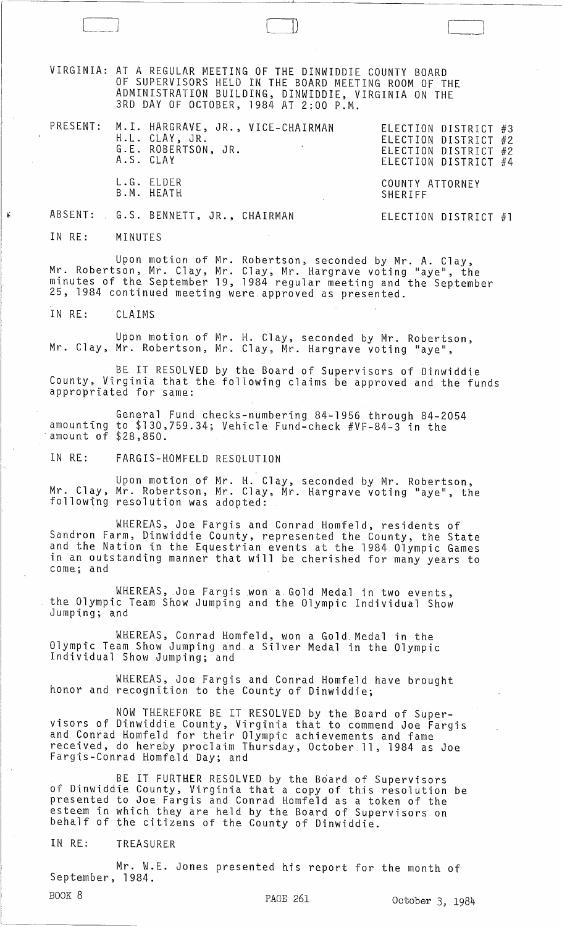VIRGINIA: AT A REGULAR MEETING OF THE DINWIDDIE COUNTY BOARD OF SUPERVISORS HELD IN THE BOARD MEETING ROOM OF THE ADMINISTRATION BUILDING, DINWIDDIE, VIRGINIA ON THE 3RD DAY OF OCTOBER, 1984 AT 2:00 P.M.

|  | PRESENT: M.I. HARGRAVE, JR., VICE-CHAIRMAN<br>H.L. CLAY, JR.<br>G.E. ROBERTSON, JR.<br>A.S. CLAY | ELECTION DISTRICT #3<br>ELECTION DISTRICT #2<br>ELECTION DISTRICT #2<br>ELECTION DISTRICT #4 |
|--|--------------------------------------------------------------------------------------------------|----------------------------------------------------------------------------------------------|
|  | L.G. ELDER<br>B.M. HEATH                                                                         | COUNTY ATTORNEY<br>SHERIFF                                                                   |
|  | ABSENT: G.S. BENNETT, JR., CHAIRMAN                                                              | ELECTION DISTRICT $#1$                                                                       |

IN RE: MINUTES

t,:

Upon motion of Mr. Robertson, seconded by Mr. A. Clay, Mr. Robertson, Mr. Clay, Mr. Clay, Mr. Hargrave voting "aye", the minutes of the September 19, 1984 regular meeting and the September 25, 1984 continued meeting were approved as presented.

IN RE: CLAIMS

Upon motion of Mr. H. Clay, seconded by Mr. Robertson, Mr. Clay, Mr. Robertson, Mr. Clay, Mr. Hargrave voting "aye",

BE IT RESOLVED by the Board of Supervisors of Dinwiddie County, Virginia that the following claims be approved and the funds appropriated for same:

General Fund checks-numbering 84-1956 through 84-2054 amounting to  $$130,759.34$ ; Vehicle Fund-check  $#VF-84-3$  in the amount of  $$28,850$ .

IN RE: FARGIS-HOMFELD RESOLUTION

 $\mathsf{Upon}$  motion of Mr. H. Clay, seconded by Mr. Robertson, Mr. Clay, Mr. Robertson, Mr. Clay, Mr. Hargrave voting "aye", the following resolution was adopted:

WHEREAS, Joe Fargis and Conrad Homfeld, residents of Sandron Farm, Dinwiddie County, represented the County, the State and the Nation in the Equestrian events at the 1984 Olympic Games in an outstanding manner that will be cherished for many years to come; and

WHEREAS, Joe Fargis won a Gold Medal in two events, the Olympic Team Show Jumping and the Olympic Individual Show Jumping; and

WHEREAS, Conrad Homfeld, won a Gold.Medal in the Olympic Team Show Jumping and. a Silver Medal in the Olympic Individual Show Jumping; and

WHEREAS, Joe Fargis and Conrad Homfeld have brought honor and recognition to the County of Dinwiddie;

NOW THEREFORE BE IT RESOLVED by the .Board of Supervisors of Dinwiddie County, Virginia that to commend Joe Fargis and Conrad Homfeld for their Olympic achievements and fame received, do hereby proclaim Thursday, October 11, 1984 as Joe Fargis-Conrad Homfeld Day; and

BE IT FURTHER RESOLVED by the Board of Supervisors of Dinwiddie County, Virginia that a copy of this resolution be presented to Joe Fargis and Conrad Homfeld as a token of the esteem in which they are held by the Board of Supervisors on behalf of the citizens of the County of Dinwiddie.

IN RE: TREASURER

Mr. W.E. Jones presented his report for the month of September, 1984.

l \_\_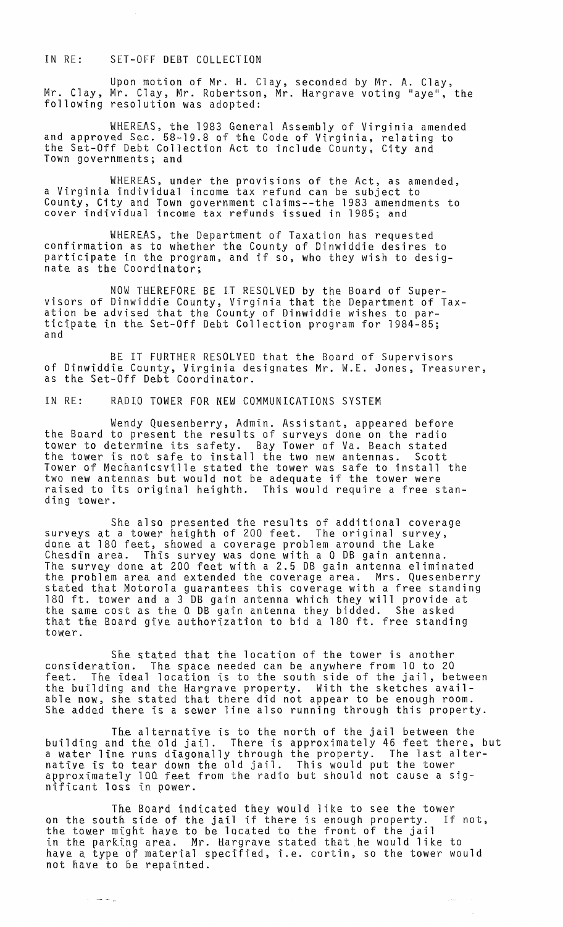## IN RE: SET-OFF DEBT COLLECTION

Upon motion of Mr. H. Clay, seconded by Mr. A. Clay, Mr. Clay, Mr. Clay, Mr. Robertson, Mr. Hargrave voting "aye", the following resolution was adopted:

WHEREAS, the 1983 General Assembly of Virginia amended and approved Sec. 58-19.8 of the Code of Virginia, relating to the Set-Off Debt Collection Act to include County, City and Town governments; and

WHEREAS, under the provisions of the Act, as amended, a Virginia individual income tax refund can be subject to County, City and Town government claims--the 1983 amendments to cover individual income tax refunds issued in 1985; and

WHEREAS, the Department of Taxation has requested confirmation as to whether the County of Dinwiddie desires to participate in the program, and if so, who they wish to designate as tbe Coordinator;

NOW THEREFORE BE IT RESOLVED by the Board of Supervisors of Dinwiddie County, Virginia that the Department of Taxation be advised that the County of Dinwiddie wishes to participate in the Set-Off Debt Collection program for 1984-85; and

BE IT FURTHER RESOLVED that the Board of Supervisors of Dinwiddie County, Virginia designates Mr. W.E. Jones, Treasurer, as the Set-Off Debt Coordinator.

IN RE: RADIO TOWER FOR NEW COMMUNICATIONS SYSTEM

Wendy Quesenberry, Admin. Assistant, appeared before the Board to present the results of surveys done on the radio tower to determine its safety. Bay Tower of Va. Beach stated the tower is not safe to install the two new antennas. Scott Tower of Mechanicsville stated the tower was safe to install the two new antennas but would not be adequate if the tower were raised to its original heighth. This would require a free standing tower.

She also presented the results of additional coverage<br>surveys at a tower heighth of 200 feet. The original survey, surveys at a tower heighth of 200 feet. The original survey, done at 180 feet, showed a coverage problem around the Lake Chesdin area. This survey was done with a 0 DB gain antenna. The survey done at 200 feet with a 2.5 DB gain antenna eliminated the problem area and extended the coverage area. Mrs. Quesenberry stated that Motorola guarantees this coverage with a free standing 180 ft. tower and a 3 DB gain antenna which they will provide at the same cost as the a DB gain antenna they bidded. She asked that the Board give authorization to bid a 180 ft. free standing tower.

She stated that the location of the tower is another consideration. The space needed can be anywhere from 10 to 20 feet. The ideal location is to the south side of the jail, between the building and the Hargrave property. With the sketches available now, she stated that there did not appear to be enough room. She added there is a sewer line also running through this property.

The alternative is to the north of the jail between the building and the old jail. There is approximately 46 feet there, but a water line runs diagonally through the property. The last alternative is to tear down the old jail. This would put the tower approximately 100 feet from the radio but should not cause a significant loss in power.

The Board indicated they would like to see the tower on the south side of the jail if there is enough property. If not, the tower might have to be located to the front of the jail in the paritng area. Mr. Hargrave stated that he would like to have a type of material specified, i.e. cortin, so the tower would not have to be repainted.

 $\langle \varphi, \varphi \rangle$ 

بهائك كتاب الد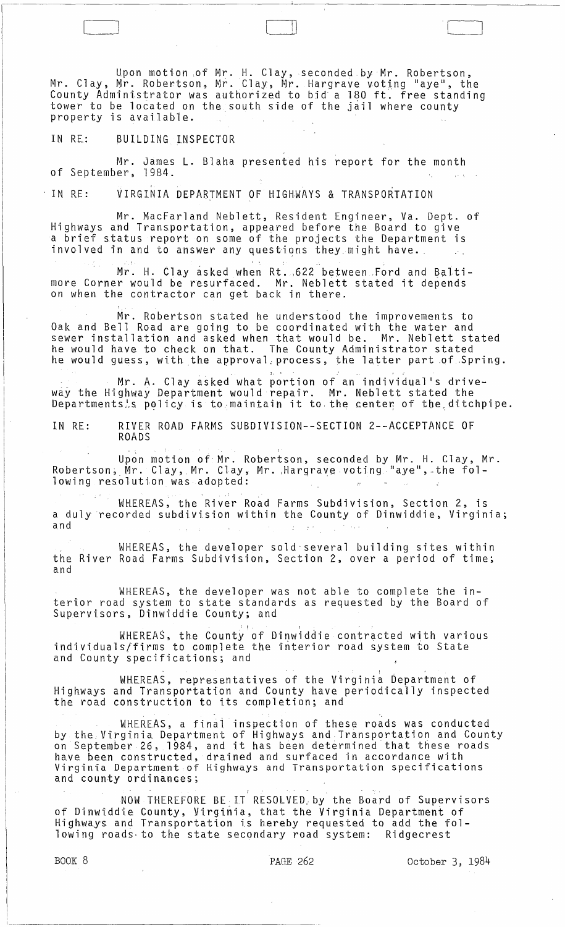Upon motion ,of Mr. H. Clay, seconded.by Mr. Robertson, Mr. Clay, Mr. Robertson, Mr. Clay, Mr. Hargrave voting "aye", the County Administrator was authorized to bid a 180 ft. free standing tower to be located on the south side of the jail where county property is available.

 $\sqcup$  .

IN RE: BUILDING INSPECTOR

Mr. James L. Blaha presented his report for the month of September. 1984.

IN RE: VIRGINIA DEPARTMENT OF HIGHWAYS & TRANSPORTATION

Mr. MacFarland Neblett, Resident Engineer, Va. Dept. of Highways and Transportation, appeared before the Board to give a brief status report on some of the projects the Department is involved in and to answer any questions they might have.

Mr. H. Clay asked when Rt. 622 between Ford and Baltimore Corner would be resurfaced. Mr. Neblett stated it depends on when the contractor can get back in there.

Mr. Robertson stated he understood the improvements to Oak and Bell Road are going to be coordinated with the water and sewer installation and asked when that would be. Mr. Neblett stated he would have to check on that. The County Administrator stated he would guess, with the approval: process, the latter part of Spring.

Mr. A. Clay asked what portion of an individual's driveway the Highway Department would repair. Mr. Neblett stated the way the highway bepartment would repair. In: Weblett stated the<br>Departments's policy is to maintain it to the center of the ditchpipe.

IN RE: RIVER ROAD FARMS SUBDIVISION--SECTION 2--ACCEPTANCE OF ROADS

Upon motion of Mr. Robertson, seconded by Mr. H. Clay, Mr. Robertson, Mr. Clay, Mr. Clay, Mr. Hargrave voting "aye", the following resolution was adopted:

WHEREAS, the River Road Farms Subdivision, Section 2, is a duly recorded subdivision within the County of Dinwiddie, Virginia; and

WHEREAS, the developer sold'several building sites within the River Road Farms Subdivision, Section 2, over a period of time; and

WHEREAS, the developer was not able to complete the interior road system to state standards as requested by the Board of Supervisors, Dinwiddie County; and

WHEREAS, the County of Dinwiddie contracted with various individuals/firms to complete the interior road system to State and County specifications; and

WHEREAS, representatives of the Virginia Department of Highways and Transportation and County have periodically inspected the road construction to its completion; and

WHEREAS, a final inspection of these roads was conducted by the.Virginia Department of Highways and Transportation and County by the rirginia bepartment of inginarys and fransportation and count<br>on September 26, 1984, and it has been determined that these roads have been constructed, drained and surfaced in accordance with Virginia Department of Highways and Transportation specifications and county ordinances;

NOW THEREFORE BELT RESOLVED:by the Board of Supervisors of Dinwiddie County, Virginia, that the Virginia Department of Highways and Transportation is hereby requested to add the following roads to the state secondary road system: Ridgecrest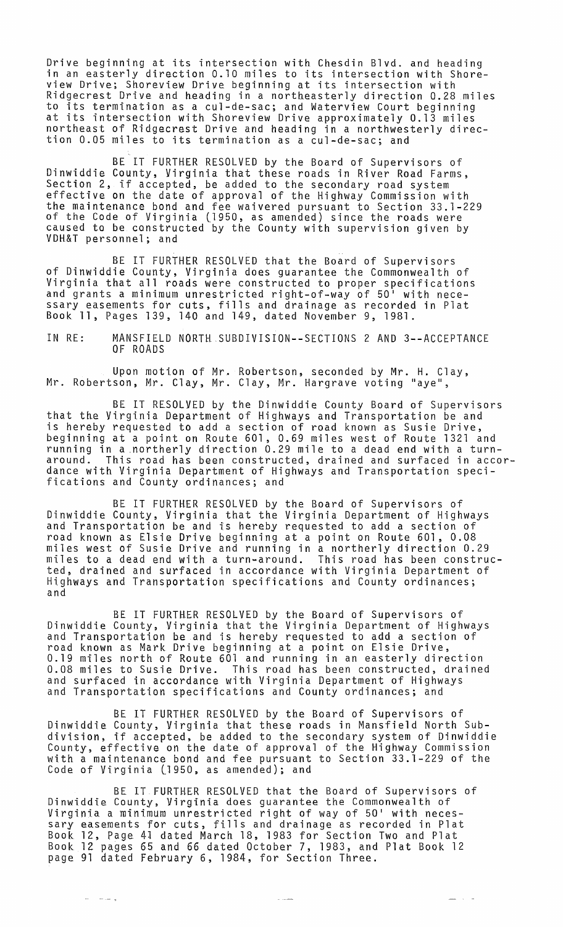Drive beginning at its intersection with Chesdin Blvd. and heading in an easterly direction 0.10 miles to its intersection with Shoreview Drive; Shoreview Drive beginning at its intersection with Ridgecrest Drive and heading in a northeasterly direction 0.28 miles to its termination as a cUl-de-sac; and Waterview Court beginning at its intersection with Shoreview Drive approximately 0.13 miles northeast of Ridgecrest Drive and heading in a northwesterly direction 0.05 miles to its termination as a cul-de-sac; and

BE IT FURTHER RESOLVED by the Board of Supervisors of Dinwiddie County, Virginia that these roads in River Road Farms, Section 2, if accepted, be added to the secondary road system effective on the date of approval of the Highway Commission with the maintenance bond and fee waivered pursuant to Section 33.1-229 of the Code of Virginia (1950, as amended) since the roads were caused to be constructed by the County with supervision given by<br>VDH&T personnel; and

BE IT FURTHER RESOLVED that the Board of Supervisors of Dinwiddie County, Virginia does guarantee the Commonwealth of Virginia that all roads were constructed to proper specifications and grants a minimum unrestricted right-of-way of 50' with necessary easements for cuts, fills and drainage as recorded in Plat Book **11,** Pages 139, 140 and 149, dated November 9, 1981.

IN RE: MANSFIELD NORTH SUBDIVISION--SECTIONS 2 AND 3--ACCEPTANCE OF ROADS

Upon motion of Mr. Robertson, seconded by Mr. H. Clay, Mr. Robertson, Mr. Clay, Mr. Clay, Mr. Hargrave voting "aye",

BE IT RESOLVED by the Dinwiddie County Board of Supervisors that the Virginia Department of Highways and Transportation be and is hereby requested to add a section of road known as Susie Drive, beginning at a point on Route 601, 0.69 miles west of Route 1321 and running in a .norther1y direction 0.29 mile to a dead end with a turnaround. This road has been constructed, drained and surfaced in accordance with Virginia Department of Highways and Transportation specifications and County ordinances; and

BE IT FURTHER RESOLVED by the Board of Supervisors of Dinwiddie County, Virginia that the Virginia Department of Highways and Transportation be and is hereby requested to add a section of road known as Elsie Drive beginning at a point on Route 601, 0.08 miles west of Susie Drive and running in a northerly direction 0.29 miles to a dead end with a turn-around. This road has been constructed, drained and surfaced in accordance with Virginia Department of Highways and Transportation specifications and County ordinances; and

BE IT FURTHER RESOLVED by the Board of Supervisors of Dinwiddie County, Virginia that the Virginia Department of Highways and Transportation be and is hereby requested to add a section of road known as Mark Drive beginning at a point on Elsie Drive, 0.19 miles north of Route 601 and running in an easterly direction 0.08 miles to Susie Drive. This road has been constructed, drained and surfaced in accordance with Virginia Department of Highways and Transportation specifications and County ordinances; and

BE IT FURTHER RESOLVED by the Board of Supervisors of Dinwiddie County, Virginia that these roads in Mansfield North Subdivision, if accepted, be added to the secondary system of Dinwiddie County, effective on the date of approval of the Highway Commission with a maintenance bond and fee pursuant to Section 33.1-229 of the Code of Virginia (1950, as amended); and

BE IT FURTHER RESOLVED that the Board of Supervisors of Dinwiddie County, Virginia does guarantee the Commonwealth of Virginia a minimum unrestricted right of way of 50' with necessary easements for cuts, fills and drainage as recorded in Plat Book 12, Page 4J dated March 18, 1983 for Section Two and Plat Book 12 pages 65 and 66 dated October 7, 1983, and Plat Book 12 page 91 dated February 6, 1984, for Section Three.

ما با سا

 $\omega_{\rm{max}} = \omega_{\rm{max}}$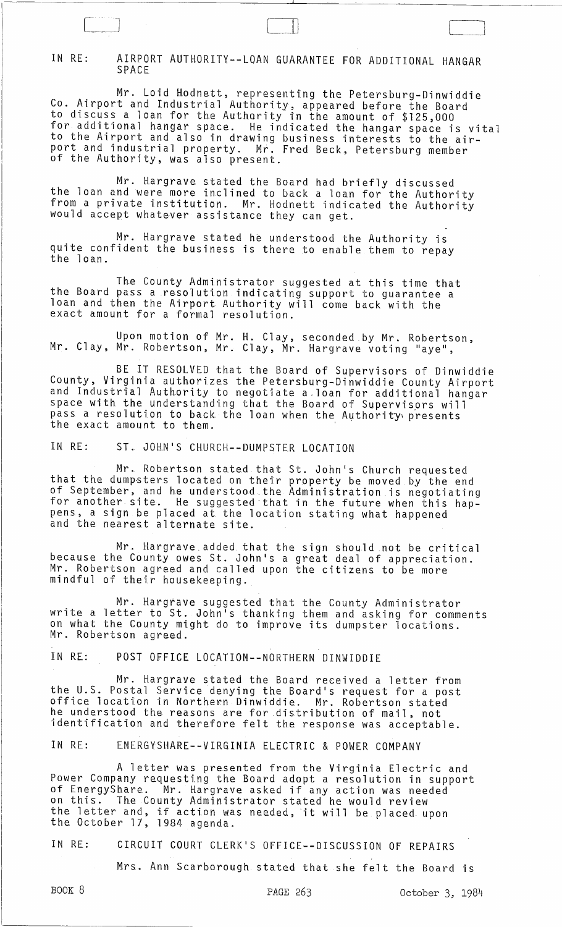## IN RE: AIRPORT AUTHORITY--LOAN GUARANTEE FOR ADDITIONAL HANGAR SPACE

 $\begin{bmatrix} 1 & 1 & 1 \ 1 & 1 & 1 \end{bmatrix}$ 

Mr. Loid Hodnett, representing the Petersburg-Dinwiddie Co. Airport and Industrial Authority, appeared before the Board to discuss a loan for the Authority in the amount of \$125,000 for additional hangar space. He indicated the hangar space is vital to the Airport and also in drawing business interests to the airport and industrial property. Mf. Fred Beck, Petersburg member of the Authority, was also present.

Mr. Hargrave stated the Board had briefly discussed the loan and were more inclined to back a loan for the Authority from a private institution. Mr. Hodnett indicated the Authority would accept whatever assistance they can get.

Mr. Hargrave stated he understood the Authority is quite confident the business is there to enable them to repay<br>the loan.

The County Administrator suggested at this time that the Board pass a resolution indicating support to guarantee a loan and then the Airport Authority will come back with the exact amount for a formal resolution.

Upon motion of Mr. H. Clay, seconded by Mr. Robertson, Mr. Clay, Mr. Robertson, Mr. Clay, Mr. Hargrave voting "aye",

BE IT RESOLVED that the Board of Supervisors of Dinwiddie County, Virginia authorizes the Petersburg-Dinwiddie County Airport and Industrial Authority to negotiate a.loan for additional hangar space with the understanding that the Board of Supervisors will pass a resolution to back the loan when the Authority presents the exact amount to them.

IN RE: ST. JOHN'S CHURCH--DUMPSTER LOCATION

Mr. Robertson stated that St. John's Church requested that the dumpsters located on their property be moved by the end of September, and he understood.the Administration is negotiating for another site. He suggested·that in the future when this happens, a sign be placed at the location stating what happened and the nearest alternate site.

Mr. Hargrave added that the sign should .not be critical because the County owes St. John's a great deal of appreciation. Mr. Robertson agreed and called upon the citizens to be more mindful of their housekeeping.

Mr. Hargtave suggested that the County Administrator write a letter to St. John's thanking them and asking for comments on what the County might do to improve its dumpster locations. Mr. Robertson agreed.

IN RE: POST OFFICE LOCATION--NORTHERN DINWIDDIE

Mr. Hargrave stated the Board received a letter from the U.S. Postal Service denying the Board's request for a post office location in Northern Dinwiddie. Mr. Robertson stated he understood the reasons are for distribution of mail, not identification and therefore felt the response was acceptable.

IN RE: ENERGYSHARE--VIRGINIA ELECTRIC & POWER COMPANY

A letter was presented from the Virginia Electric and Power Company requesting the Board adopt a resolution in support of EnergyShare. Mr. Hargrave asked if any action was needed on this. The County Administrator stated he would review the letter and, if action was needed, it will be placed upon the October 17, 1984 agenda.

IN RE: CIRCUIT COURT CLERK'S OFFICE--DISCUSSION OF REPAIRS

Mrs. Ann Scarborough stated that she felt the Board is